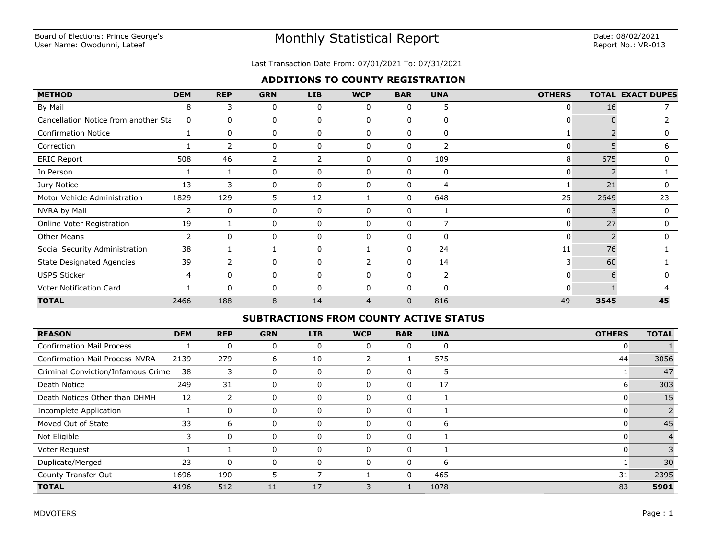#### Last Transaction Date From: 07/01/2021 To: 07/31/2021

# **ADDITIONS TO COUNTY REGISTRATION**

| <b>METHOD</b>                        | <b>DEM</b> | <b>REP</b>     | <b>GRN</b> | <b>LIB</b>   | <b>WCP</b>   | <b>BAR</b> | <b>UNA</b>   | <b>OTHERS</b> |      | <b>TOTAL EXACT DUPES</b> |
|--------------------------------------|------------|----------------|------------|--------------|--------------|------------|--------------|---------------|------|--------------------------|
| By Mail                              | 8          | 3              | 0          | 0            | 0            | 0          | 5            | O             | 16   |                          |
| Cancellation Notice from another Sta | 0          | 0              | 0          | 0            | $\Omega$     | 0          | 0            | 0             |      |                          |
| <b>Confirmation Notice</b>           |            | 0              | 0          | 0            | 0            | 0          | $\mathbf{0}$ |               |      | 0                        |
| Correction                           |            | 2              | 0          | 0            | $\mathbf{0}$ | 0          | 2            | 0             | 5    | 6                        |
| <b>ERIC Report</b>                   | 508        | 46             | 2          | 2            | 0            | 0          | 109          | 8             | 675  | 0                        |
| In Person                            |            |                | 0          | 0            | $\Omega$     | $\Omega$   | 0            | 0             |      |                          |
| Jury Notice                          | 13         | 3              | 0          | 0            | $\Omega$     | $\Omega$   | 4            |               | 21   | 0                        |
| Motor Vehicle Administration         | 1829       | 129            | 5          | 12           |              | 0          | 648          | 25            | 2649 | 23                       |
| NVRA by Mail                         | 2          | $\mathbf{0}$   | 0          | 0            | $\Omega$     | $\Omega$   | 1            | $\mathbf{0}$  | 3    | 0                        |
| Online Voter Registration            | 19         |                | 0          | 0            | $\mathbf{0}$ | 0          | 7            | 0             | 27   | 0                        |
| <b>Other Means</b>                   | 2          | $\Omega$       | 0          | 0            | $\Omega$     | 0          | 0            |               |      | 0                        |
| Social Security Administration       | 38         |                |            | 0            |              | $\Omega$   | 24           | 11            | 76   |                          |
| <b>State Designated Agencies</b>     | 39         | $\overline{2}$ | 0          | 0            |              | $\Omega$   | 14           | 3             | 60   |                          |
| <b>USPS Sticker</b>                  | 4          | 0              | 0          | 0            | $\Omega$     | 0          | 2            | 0             | h    | O                        |
| Voter Notification Card              |            | $\Omega$       | 0          | $\mathbf{0}$ | $\Omega$     | $\Omega$   | $\Omega$     | $\Omega$      |      | ⊿                        |
| <b>TOTAL</b>                         | 2466       | 188            | 8          | 14           | 4            | $\Omega$   | 816          | 49            | 3545 | 45                       |

## **SUBTRACTIONS FROM COUNTY ACTIVE STATUS**

| <b>REASON</b>                         | <b>DEM</b> | <b>REP</b> | <b>GRN</b> | <b>LIB</b> | <b>WCP</b> | <b>BAR</b> | <b>UNA</b> | <b>OTHERS</b> | <b>TOTAL</b> |
|---------------------------------------|------------|------------|------------|------------|------------|------------|------------|---------------|--------------|
| <b>Confirmation Mail Process</b>      |            | 0          | 0          | 0          | 0          | 0          | 0          | 0             |              |
| <b>Confirmation Mail Process-NVRA</b> | 2139       | 279        | 6          | 10         |            |            | 575        | 44            | 3056         |
| Criminal Conviction/Infamous Crime    | 38         | 3          | 0          | 0          | $\Omega$   | 0          | э          |               | 47           |
| Death Notice                          | 249        | 31         | 0          | 0          | $\Omega$   | 0          | 17         | ь             | 303          |
| Death Notices Other than DHMH         | 12         | 2          |            | $\Omega$   | $\Omega$   | 0          |            |               | 15           |
| Incomplete Application                |            | 0          | 0          | $\Omega$   | $\Omega$   | 0          |            |               |              |
| Moved Out of State                    | 33         | 6          | 0          | 0          | $\Omega$   | 0          | 6          | C             | 45           |
| Not Eligible                          |            | $\Omega$   | 0          | $\Omega$   | $\Omega$   | 0          |            | U             |              |
| Voter Request                         |            |            | 0          |            | $\Omega$   | 0          |            |               |              |
| Duplicate/Merged                      | 23         | 0          | 0          |            | $\Omega$   | 0          | 6          |               | 30           |
| County Transfer Out                   | $-1696$    | $-190$     | -5         | $-7$       | -1         | 0          | -465       | $-31$         | $-2395$      |
| <b>TOTAL</b>                          | 4196       | 512        | 11         | 17         | 3          |            | 1078       | 83            | 5901         |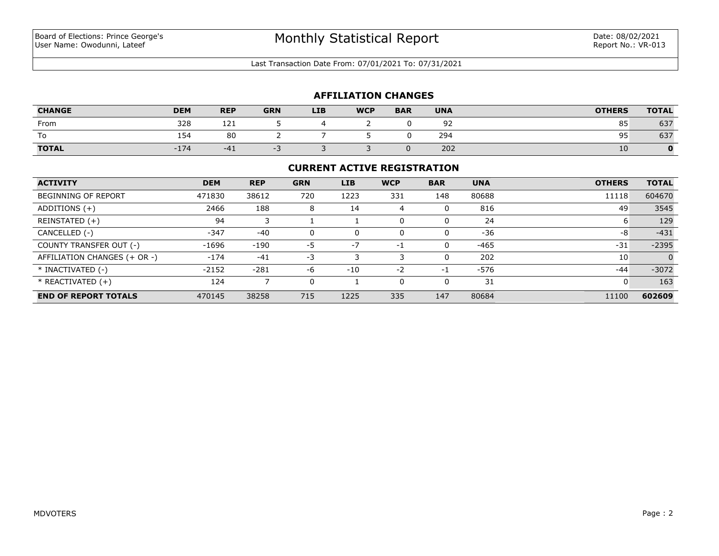Last Transaction Date From: 07/01/2021 To: 07/31/2021

## **AFFILIATION CHANGES**

| <b>CHANGE</b> | <b>DEM</b> | <b>REP</b> | <b>GRN</b> | <b>LIB</b> | <b>WCP</b> | <b>BAR</b> | <b>UNA</b> | <b>OTHERS</b> | <b>TOTAL</b> |
|---------------|------------|------------|------------|------------|------------|------------|------------|---------------|--------------|
| From          | 328        | 121        |            |            |            |            | ے ر        | 85            | 637          |
| To            | 154        | 80         |            |            |            |            | 294        | 95            | 637          |
| <b>TOTAL</b>  | $-174$     | $-41$      | - -        |            |            |            | 202        | 10            |              |

#### **CURRENT ACTIVE REGISTRATION**

| <b>ACTIVITY</b>              | <b>DEM</b> | <b>REP</b> | <b>GRN</b> | <b>LIB</b> | <b>WCP</b> | <b>BAR</b> | <b>UNA</b> | <b>OTHERS</b> | <b>TOTAL</b> |
|------------------------------|------------|------------|------------|------------|------------|------------|------------|---------------|--------------|
| <b>BEGINNING OF REPORT</b>   | 471830     | 38612      | 720        | 1223       | 331        | 148        | 80688      | 11118         | 604670       |
| ADDITIONS $(+)$              | 2466       | 188        | 8          | 14         | 4          | 0          | 816        | 49            | 3545         |
| REINSTATED (+)               | 94         |            |            |            | $\Omega$   |            | 24         | b             | 129          |
| CANCELLED (-)                | $-347$     | $-40$      | 0          | 0          | $\Omega$   | 0          | $-36$      | -8            | $-431$       |
| COUNTY TRANSFER OUT (-)      | $-1696$    | $-190$     | $-5$       | $-7$       | -1         | 0          | $-465$     | $-31$         | $-2395$      |
| AFFILIATION CHANGES (+ OR -) | $-174$     | $-41$      | -3         |            |            | $\Omega$   | 202        | 10            | $\Omega$     |
| * INACTIVATED (-)            | $-2152$    | $-281$     | -6         | $-10$      | $-2$       | -1         | -576       | $-44$         | $-3072$      |
| $*$ REACTIVATED $(+)$        | 124        |            | 0          |            | $\Omega$   | 0          | 31         | 0             | 163          |
| <b>END OF REPORT TOTALS</b>  | 470145     | 38258      | 715        | 1225       | 335        | 147        | 80684      | 11100         | 602609       |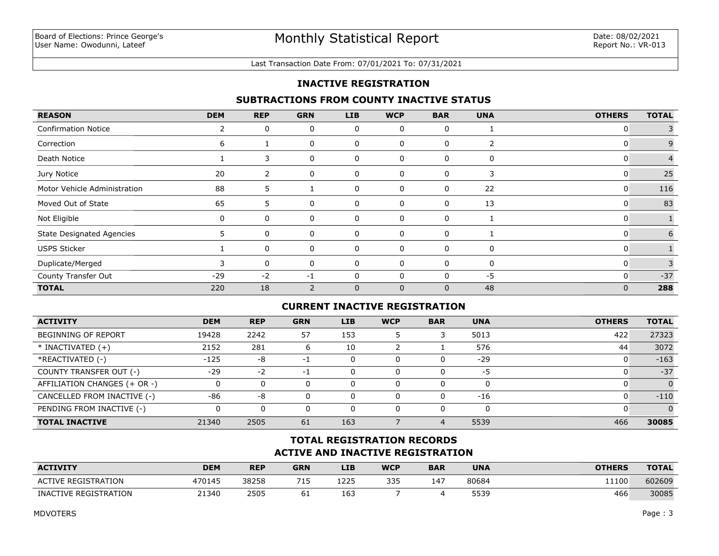#### Last Transaction Date From: 07/01/2021 To: 07/31/2021

## **INACTIVE REGISTRATION**

## **SUBTRACTIONS FROM COUNTY INACTIVE STATUS**

| <b>REASON</b>                    | <b>DEM</b> | <b>REP</b>     | <b>GRN</b>     | <b>LIB</b>   | <b>WCP</b>   | <b>BAR</b>   | <b>UNA</b> | <b>OTHERS</b> | <b>TOTAL</b>   |
|----------------------------------|------------|----------------|----------------|--------------|--------------|--------------|------------|---------------|----------------|
| <b>Confirmation Notice</b>       | 2          | 0              | 0              | 0            | 0            | 0            |            | 0             |                |
| Correction                       | 6          |                | 0              | 0            | 0            | 0            | 2          | 0             | 9              |
| Death Notice                     |            | 3              | 0              | 0            | 0            | 0            | 0          | 0             | $\overline{4}$ |
| Jury Notice                      | 20         | $\overline{2}$ | 0              | 0            | 0            | 0            | 3          | 0             | 25             |
| Motor Vehicle Administration     | 88         | 5              |                | 0            | 0            | 0            | 22         | 0             | 116            |
| Moved Out of State               | 65         | 5              | 0              | 0            | 0            | 0            | 13         | 0             | 83             |
| Not Eligible                     | 0          | 0              | 0              | $\mathbf 0$  | 0            | 0            |            | 0             |                |
| <b>State Designated Agencies</b> | 5.         | 0              | 0              | 0            | 0            | $\Omega$     |            | 0             | 6              |
| <b>USPS Sticker</b>              |            | 0              | 0              | 0            | 0            | $\Omega$     | 0          | 0             |                |
| Duplicate/Merged                 |            | $\Omega$       | 0              | $\Omega$     | 0            | $\Omega$     | 0          | 0             | 3              |
| County Transfer Out              | $-29$      | $-2$           | $-1$           | 0            | 0            | $\Omega$     | $-5$       | $\mathbf{0}$  | $-37$          |
| <b>TOTAL</b>                     | 220        | 18             | $\overline{2}$ | $\mathbf{0}$ | $\mathbf{0}$ | $\mathbf{0}$ | 48         | 0             | 288            |

## **CURRENT INACTIVE REGISTRATION**

| <b>ACTIVITY</b>              | <b>DEM</b> | <b>REP</b> | <b>GRN</b> | <b>LIB</b> | <b>WCP</b> | <b>BAR</b> | <b>UNA</b> | <b>OTHERS</b> | <b>TOTAL</b> |
|------------------------------|------------|------------|------------|------------|------------|------------|------------|---------------|--------------|
| <b>BEGINNING OF REPORT</b>   | 19428      | 2242       | 57         | 153        |            |            | 5013       | 422           | 27323        |
| $*$ INACTIVATED $(+)$        | 2152       | 281        |            | 10         |            |            | 576        | 44            | 3072         |
| *REACTIVATED (-)             | $-125$     | -8         | - 1        | 0          |            |            | $-29$      |               | $-163$       |
| COUNTY TRANSFER OUT (-)      | $-29$      | $-2$       | - 1        | 0          |            |            | -5         |               | $-37$        |
| AFFILIATION CHANGES (+ OR -) |            | 0          |            | 0          |            |            |            |               | $\Omega$     |
| CANCELLED FROM INACTIVE (-)  | -86        | -8         |            | 0          |            |            | $-16$      |               | $-110$       |
| PENDING FROM INACTIVE (-)    |            | 0          |            | 0          |            |            |            |               | $\Omega$     |
| <b>TOTAL INACTIVE</b>        | 21340      | 2505       | 61         | 163        |            |            | 5539       | 466           | 30085        |

# **ACTIVE AND INACTIVE REGISTRATION TOTAL REGISTRATION RECORDS**

| <b>ACTIVITY</b>            | <b>DEM</b> | <b>REP</b> | <b>GRN</b>               | LIB  | <b>WCP</b> | <b>BAR</b> | <b>UNA</b> | <b>OTHERS</b> | <b>TOTAL</b> |
|----------------------------|------------|------------|--------------------------|------|------------|------------|------------|---------------|--------------|
| <b>ACTIVE REGISTRATION</b> | 470145     | 38258      | <b>710</b><br><b>L</b> – | 1225 | 335        | $14^{-}$   | 80684      | 11100         | 602609       |
| INACTIVE REGISTRATION      | 21340      | 2505       | 61                       | 163  |            |            | 5539       | 466           | 30085        |